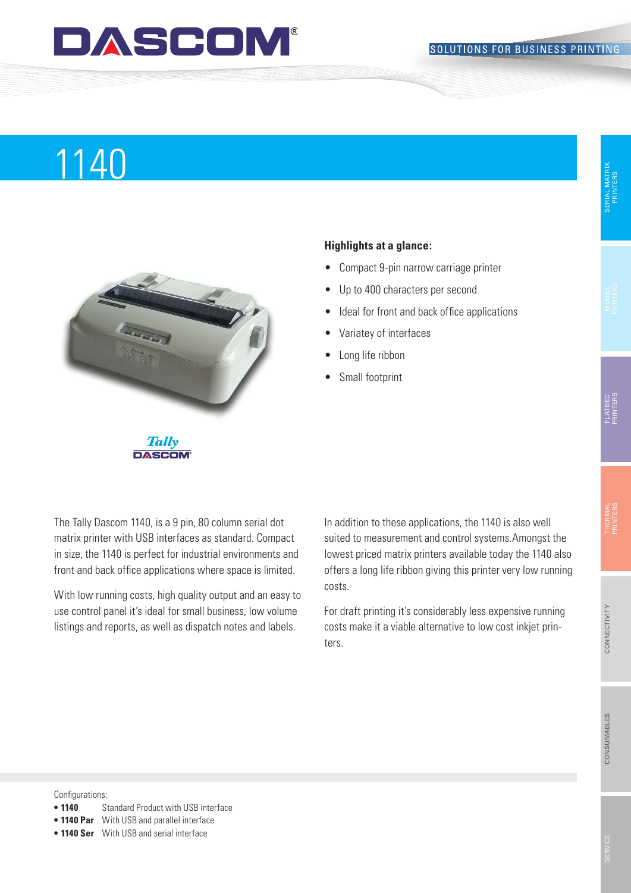## DASCOM

# Produktname 1140



### **Highlights at a glance:**

- • Compact 9-pin narrow carriage printer
- • Up to 400 characters per second
- Ideal for front and back office applications
- • Variatey of interfaces
- Long life ribbon
- Small footprint

**Tally DASCOM** 

The Tally Dascom 1140, is a 9 pin, 80 column serial dot matrix printer with USB interfaces as standard. Compact in size, the 1140 is perfect for industrial environments and front and back office applications where space is limited.

With low running costs, high quality output and an easy to use control panel it's ideal for small business, low volume listings and reports, as well as dispatch notes and labels.

In addition to these applications, the 1140 is also well suited to measurement and control systems.Amongst the lowest priced matrix printers available today the 1140 also offers a long life ribbon giving this printer very low running costs.

For draft printing it's considerably less expensive running costs make it a viable alternative to low cost inkjet printers.

Configurations:

- **1140** Standard Product with USB interface
- **• 1140 Par** With USB and parallel interface
- **• 1140 Ser** With USB and serial interface